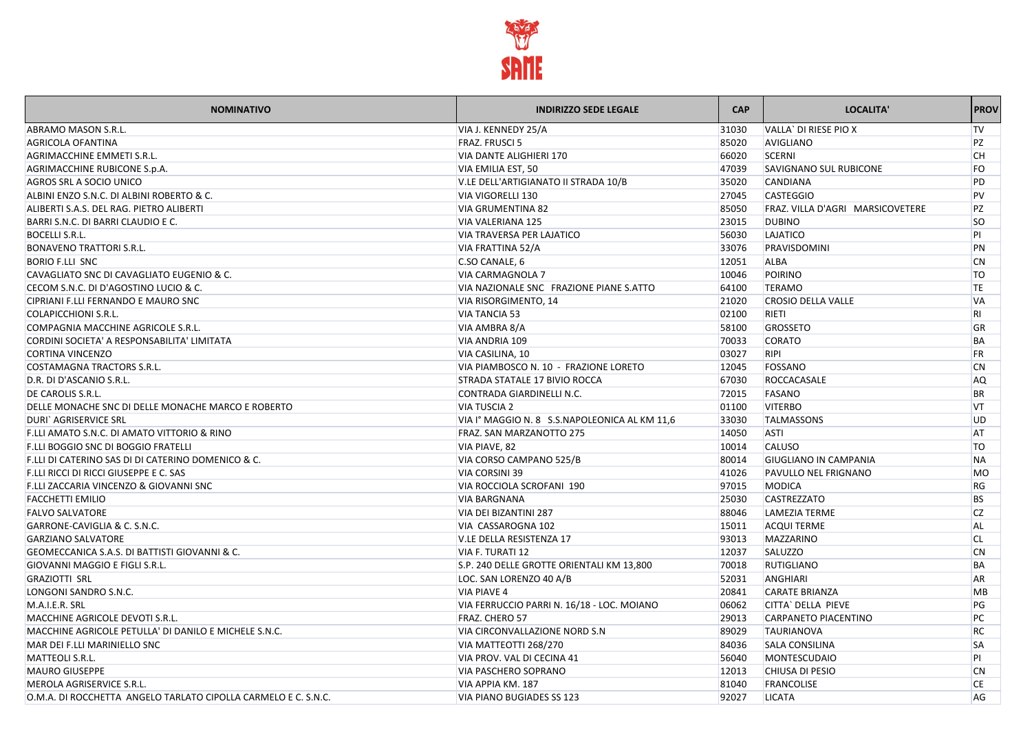

| <b>NOMINATIVO</b>                                              | <b>INDIRIZZO SEDE LEGALE</b>                  | <b>CAP</b> | LOCALITA'                        | <b>PROV</b> |
|----------------------------------------------------------------|-----------------------------------------------|------------|----------------------------------|-------------|
| ABRAMO MASON S.R.L.                                            | VIA J. KENNEDY 25/A                           | 31030      | VALLA` DI RIESE PIO X            | <b>TV</b>   |
| <b>AGRICOLA OFANTINA</b>                                       | <b>FRAZ. FRUSCI 5</b>                         | 85020      | <b>AVIGLIANO</b>                 | PZ          |
| AGRIMACCHINE EMMETI S.R.L.                                     | VIA DANTE ALIGHIERI 170                       | 66020      | <b>SCERNI</b>                    | <b>CH</b>   |
| AGRIMACCHINE RUBICONE S.p.A.                                   | VIA EMILIA EST, 50                            | 47039      | <b>SAVIGNANO SUL RUBICONE</b>    | <b>FO</b>   |
| AGROS SRL A SOCIO UNICO                                        | V.LE DELL'ARTIGIANATO II STRADA 10/B          | 35020      | <b>CANDIANA</b>                  | PD          |
| ALBINI ENZO S.N.C. DI ALBINI ROBERTO & C.                      | VIA VIGORELLI 130                             | 27045      | <b>CASTEGGIO</b>                 | <b>PV</b>   |
| ALIBERTI S.A.S. DEL RAG. PIETRO ALIBERTI                       | <b>VIA GRUMENTINA 82</b>                      | 85050      | FRAZ. VILLA D'AGRI MARSICOVETERE | PZ          |
| BARRI S.N.C. DI BARRI CLAUDIO E C.                             | <b>VIA VALERIANA 125</b>                      | 23015      | <b>DUBINO</b>                    | <b>SO</b>   |
| <b>BOCELLI S.R.L.</b>                                          | <b>VIA TRAVERSA PER LAJATICO</b>              | 56030      | LAJATICO                         | PI          |
| <b>BONAVENO TRATTORI S.R.L.</b>                                | VIA FRATTINA 52/A                             | 33076      | PRAVISDOMINI                     | PN          |
| <b>BORIO F.LLI SNC</b>                                         | C.SO CANALE, 6                                | 12051      | <b>ALBA</b>                      | <b>CN</b>   |
| CAVAGLIATO SNC DI CAVAGLIATO EUGENIO & C.                      | <b>VIA CARMAGNOLA 7</b>                       | 10046      | POIRINO                          | <b>TO</b>   |
| CECOM S.N.C. DI D'AGOSTINO LUCIO & C.                          | VIA NAZIONALE SNC FRAZIONE PIANE S.ATTO       | 64100      | <b>TERAMO</b>                    | <b>TE</b>   |
| CIPRIANI F.LLI FERNANDO E MAURO SNC                            | VIA RISORGIMENTO, 14                          | 21020      | <b>CROSIO DELLA VALLE</b>        | <b>VA</b>   |
| <b>COLAPICCHIONI S.R.L.</b>                                    | <b>VIA TANCIA 53</b>                          | 02100      | <b>RIETI</b>                     | <b>RI</b>   |
| COMPAGNIA MACCHINE AGRICOLE S.R.L.                             | VIA AMBRA 8/A                                 | 58100      | <b>GROSSETO</b>                  | GR          |
| CORDINI SOCIETA' A RESPONSABILITA' LIMITATA                    | <b>VIA ANDRIA 109</b>                         | 70033      | <b>CORATO</b>                    | BA          |
| <b>CORTINA VINCENZO</b>                                        | VIA CASILINA, 10                              | 03027      | RIPI                             | <b>FR</b>   |
| COSTAMAGNA TRACTORS S.R.L.                                     | VIA PIAMBOSCO N. 10 - FRAZIONE LORETO         | 12045      | FOSSANO                          | <b>CN</b>   |
| D.R. DI D'ASCANIO S.R.L.                                       | <b>STRADA STATALE 17 BIVIO ROCCA</b>          | 67030      | ROCCACASALE                      | AQ          |
| DE CAROLIS S.R.L.                                              | CONTRADA GIARDINELLI N.C.                     | 72015      | <b>FASANO</b>                    | <b>BR</b>   |
| DELLE MONACHE SNC DI DELLE MONACHE MARCO E ROBERTO             | <b>VIA TUSCIA 2</b>                           | 01100      | <b>VITERBO</b>                   | VT          |
| <b>DURI</b> AGRISERVICE SRL                                    | VIA I° MAGGIO N. 8 S.S.NAPOLEONICA AL KM 11,6 | 33030      | <b>TALMASSONS</b>                | UD          |
| F.LLI AMATO S.N.C. DI AMATO VITTORIO & RINO                    | <b>FRAZ. SAN MARZANOTTO 275</b>               | 14050      | <b>ASTI</b>                      | AT          |
| <b>F.LLI BOGGIO SNC DI BOGGIO FRATELLI</b>                     | VIA PIAVE, 82                                 | 10014      | <b>CALUSO</b>                    | <b>TO</b>   |
| F.LLI DI CATERINO SAS DI DI CATERINO DOMENICO & C.             | VIA CORSO CAMPANO 525/B                       | 80014      | <b>GIUGLIANO IN CAMPANIA</b>     | <b>NA</b>   |
| F.LLI RICCI DI RICCI GIUSEPPE E C. SAS                         | <b>VIA CORSINI 39</b>                         | 41026      | <b>PAVULLO NEL FRIGNANO</b>      | <b>MO</b>   |
| F.LLI ZACCARIA VINCENZO & GIOVANNI SNC                         | VIA ROCCIOLA SCROFANI 190                     | 97015      | MODICA                           | <b>RG</b>   |
| <b>FACCHETTI EMILIO</b>                                        | <b>VIA BARGNANA</b>                           | 25030      | <b>CASTREZZATO</b>               | <b>BS</b>   |
| <b>FALVO SALVATORE</b>                                         | VIA DEI BIZANTINI 287                         | 88046      | LAMEZIA TERME                    | <b>CZ</b>   |
| GARRONE-CAVIGLIA & C. S.N.C.                                   | VIA CASSAROGNA 102                            | 15011      | <b>ACQUI TERME</b>               | AL          |
| <b>GARZIANO SALVATORE</b>                                      | V.LE DELLA RESISTENZA 17                      | 93013      | <b>MAZZARINO</b>                 | CL.         |
| GEOMECCANICA S.A.S. DI BATTISTI GIOVANNI & C.                  | VIA F. TURATI 12                              | 12037      | <b>SALUZZO</b>                   | <b>CN</b>   |
| <b>GIOVANNI MAGGIO E FIGLI S.R.L.</b>                          | S.P. 240 DELLE GROTTE ORIENTALI KM 13,800     | 70018      | <b>RUTIGLIANO</b>                | BA          |
| <b>GRAZIOTTI SRL</b>                                           | LOC. SAN LORENZO 40 A/B                       | 52031      | ANGHIARI                         | <b>AR</b>   |
| LONGONI SANDRO S.N.C.                                          | <b>VIA PIAVE 4</b>                            | 20841      | <b>CARATE BRIANZA</b>            | <b>MB</b>   |
| M.A.I.E.R. SRL                                                 | VIA FERRUCCIO PARRI N. 16/18 - LOC. MOIANO    | 06062      | CITTA` DELLA PIEVE               | PG          |
| MACCHINE AGRICOLE DEVOTI S.R.L.                                | FRAZ. CHERO 57                                | 29013      | CARPANETO PIACENTINO             | PC          |
| MACCHINE AGRICOLE PETULLA' DI DANILO E MICHELE S.N.C.          | <b>VIA CIRCONVALLAZIONE NORD S.N</b>          | 89029      | <b>TAURIANOVA</b>                | <b>RC</b>   |
| MAR DEI F.LLI MARINIELLO SNC                                   | VIA MATTEOTTI 268/270                         | 84036      | <b>SALA CONSILINA</b>            | <b>SA</b>   |
| MATTEOLI S.R.L.                                                | VIA PROV. VAL DI CECINA 41                    | 56040      | <b>MONTESCUDAIO</b>              | PI.         |
| <b>MAURO GIUSEPPE</b>                                          | <b>VIA PASCHERO SOPRANO</b>                   | 12013      | <b>CHIUSA DI PESIO</b>           | <b>CN</b>   |
| MEROLA AGRISERVICE S.R.L.                                      | VIA APPIA KM. 187                             | 81040      | FRANCOLISE                       | <b>CE</b>   |
| O.M.A. DI ROCCHETTA ANGELO TARLATO CIPOLLA CARMELO E C. S.N.C. | <b>VIA PIANO BUGIADES SS 123</b>              | 92027      | <b>LICATA</b>                    | AG          |